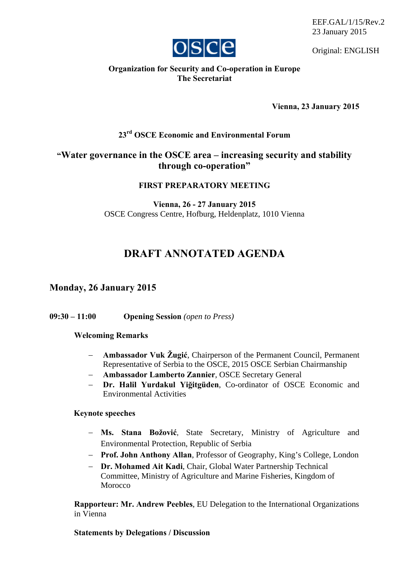EEF.GAL/1/15/Rev.2 23 January 2015



Original: ENGLISH

## **Organization for Security and Co-operation in Europe The Secretariat**

**Vienna, 23 January 2015** 

# **23rd OSCE Economic and Environmental Forum**

# **"Water governance in the OSCE area – increasing security and stability through co-operation"**

## **FIRST PREPARATORY MEETING**

**Vienna, 26 - 27 January 2015**  OSCE Congress Centre, Hofburg, Heldenplatz, 1010 Vienna

# **DRAFT ANNOTATED AGENDA**

## **Monday, 26 January 2015**

**09:30 – 11:00 Opening Session** *(open to Press)*

#### **Welcoming Remarks**

- **Ambassador Vuk Žugić**, Chairperson of the Permanent Council, Permanent Representative of Serbia to the OSCE, 2015 OSCE Serbian Chairmanship
- **Ambassador Lamberto Zannier**, OSCE Secretary General
- **Dr. Halil Yurdakul Yiğitgüden**, Co-ordinator of OSCE Economic and Environmental Activities

#### **Keynote speeches**

- **Ms. Stana Božović**, State Secretary, Ministry of Agriculture and Environmental Protection, Republic of Serbia
- **Prof. John Anthony Allan**, Professor of Geography, King's College, London
- **Dr. Mohamed Ait Kadi**, Chair, Global Water Partnership Technical Committee, Ministry of Agriculture and Marine Fisheries, Kingdom of Morocco

**Rapporteur: Mr. Andrew Peebles**, EU Delegation to the International Organizations in Vienna

### **Statements by Delegations / Discussion**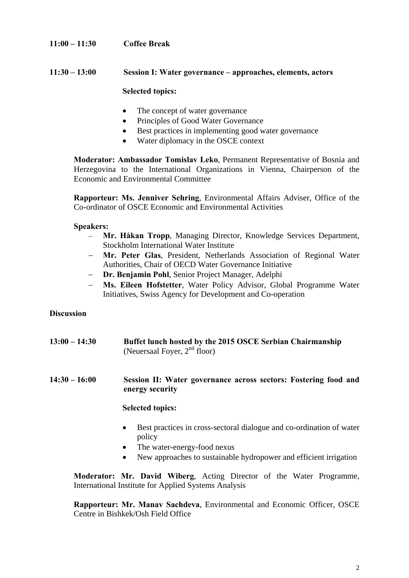## **11:00 – 11:30 Coffee Break**

### **11:30 – 13:00 Session I: Water governance – approaches, elements, actors**

#### **Selected topics:**

- The concept of water governance
- Principles of Good Water Governance
- Best practices in implementing good water governance
- Water diplomacy in the OSCE context

**Moderator: Ambassador Tomislav Leko**, Permanent Representative of Bosnia and Herzegovina to the International Organizations in Vienna, Chairperson of the Economic and Environmental Committee

**Rapporteur: Ms. Jenniver Sehring**, Environmental Affairs Adviser, Office of the Co-ordinator of OSCE Economic and Environmental Activities

#### **Speakers:**

- **Mr. Håkan Tropp**, Managing Director, Knowledge Services Department, Stockholm International Water Institute
- **Mr. Peter Glas**, President, Netherlands Association of Regional Water Authorities, Chair of OECD Water Governance Initiative
- **Dr. Benjamin Pohl**, Senior Project Manager, Adelphi
- **Ms. Eileen Hofstetter**, Water Policy Advisor, Global Programme Water Initiatives, Swiss Agency for Development and Co-operation

## **Discussion**

**13:00 – 14:30 Buffet lunch hosted by the 2015 OSCE Serbian Chairmanship**  (Neuersaal Foyer,  $2<sup>nd</sup>$  floor)

#### **14:30 – 16:00 Session II: Water governance across sectors: Fostering food and energy security**

#### **Selected topics:**

- Best practices in cross-sectoral dialogue and co-ordination of water policy
- The water-energy-food nexus
- New approaches to sustainable hydropower and efficient irrigation

**Moderator: Mr. David Wiberg**, Acting Director of the Water Programme, International Institute for Applied Systems Analysis

**Rapporteur: Mr. Manav Sachdeva**, Environmental and Economic Officer, OSCE Centre in Bishkek/Osh Field Office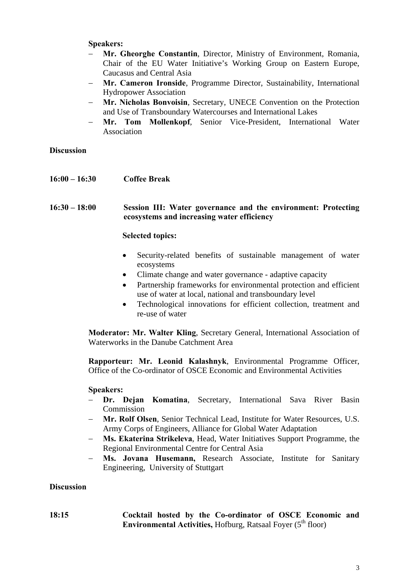#### **Speakers:**

- **Mr. Gheorghe Constantin**, Director, Ministry of Environment, Romania, Chair of the EU Water Initiative's Working Group on Eastern Europe, Caucasus and Central Asia
- **Mr. Cameron Ironside**, Programme Director, Sustainability, International Hydropower Association
- **Mr. Nicholas Bonvoisin**, Secretary, UNECE Convention on the Protection and Use of Transboundary Watercourses and International Lakes
- **Mr. Tom Mollenkopf**, Senior Vice-President, International Water Association

### **Discussion**

**16:00 – 16:30 Coffee Break** 

**16:30 – 18:00 Session III: Water governance and the environment: Protecting ecosystems and increasing water efficiency** 

#### **Selected topics:**

- Security-related benefits of sustainable management of water ecosystems
- Climate change and water governance adaptive capacity
- Partnership frameworks for environmental protection and efficient use of water at local, national and transboundary level
- Technological innovations for efficient collection, treatment and re-use of water

**Moderator: Mr. Walter Kling**, Secretary General, International Association of Waterworks in the Danube Catchment Area

**Rapporteur: Mr. Leonid Kalashnyk**, Environmental Programme Officer, Office of the Co-ordinator of OSCE Economic and Environmental Activities

#### **Speakers:**

- **Dr. Dejan Komatina**, Secretary, International Sava River Basin Commission
- **Mr. Rolf Olsen**, Senior Technical Lead, Institute for Water Resources, U.S. Army Corps of Engineers, Alliance for Global Water Adaptation
- **Ms. Ekaterina Strikeleva**, Head, Water Initiatives Support Programme, the Regional Environmental Centre for Central Asia
- **Ms. Jovana Husemann,** Research Associate, Institute for Sanitary Engineering, University of Stuttgart

### **Discussion**

#### **18:15 Cocktail hosted by the Co-ordinator of OSCE Economic and Environmental Activities, Hofburg, Ratsaal Foyer (5<sup>th</sup> floor)**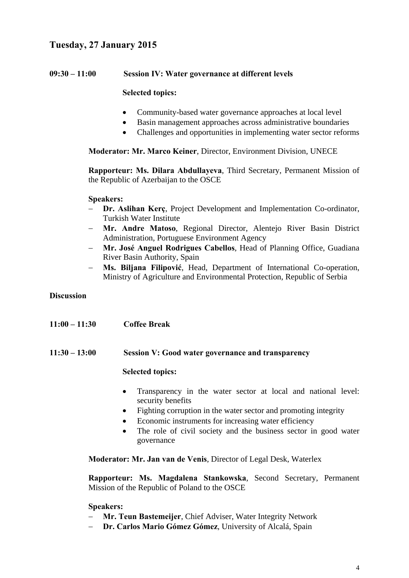# **Tuesday, 27 January 2015**

### **09:30 – 11:00 Session IV: Water governance at different levels**

#### **Selected topics:**

- Community-based water governance approaches at local level
- Basin management approaches across administrative boundaries
- Challenges and opportunities in implementing water sector reforms

**Moderator: Mr. Marco Keiner**, Director, Environment Division, UNECE

**Rapporteur: Ms. Dilara Abdullayeva**, Third Secretary, Permanent Mission of the Republic of Azerbaijan to the OSCE

#### **Speakers:**

- **Dr. Aslihan Kerç**, Project Development and Implementation Co-ordinator, Turkish Water Institute
- **Mr. Andre Matoso**, Regional Director, Alentejo River Basin District Administration, Portuguese Environment Agency
- **Mr. José Anguel Rodrigues Cabellos**, Head of Planning Office, Guadiana River Basin Authority, Spain
- **Ms. Biljana Filipović**, Head, Department of International Co-operation, Ministry of Agriculture and Environmental Protection, Republic of Serbia

#### **Discussion**

- **11:00 11:30 Coffee Break**
- **11:30 13:00 Session V: Good water governance and transparency**

#### **Selected topics:**

- Transparency in the water sector at local and national level: security benefits
- Fighting corruption in the water sector and promoting integrity
- Economic instruments for increasing water efficiency
- The role of civil society and the business sector in good water governance

**Moderator: Mr. Jan van de Venis**, Director of Legal Desk, Waterlex

**Rapporteur: Ms. Magdalena Stankowska**, Second Secretary, Permanent Mission of the Republic of Poland to the OSCE

#### **Speakers:**

- **Mr. Teun Bastemeijer**, Chief Adviser, Water Integrity Network
- **Dr. Carlos Mario Gómez Gómez**, University of Alcalá, Spain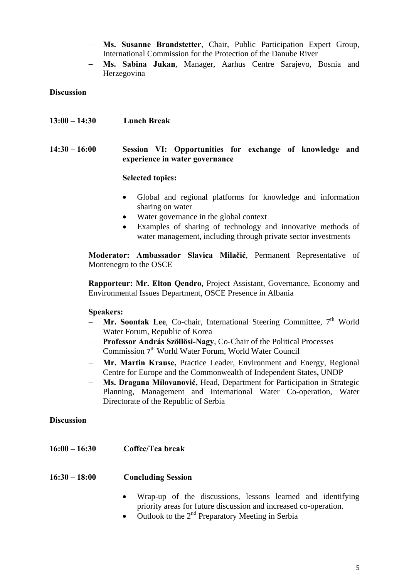- **Ms. Susanne Brandstetter**, Chair, Public Participation Expert Group, International Commission for the Protection of the Danube River
- **Ms. Sabina Jukan**, Manager, Aarhus Centre Sarajevo, Bosnia and Herzegovina

#### **Discussion**

**13:00 – 14:30 Lunch Break** 

## **14:30 – 16:00 Session VI: Opportunities for exchange of knowledge and experience in water governance**

### **Selected topics:**

- Global and regional platforms for knowledge and information sharing on water
- Water governance in the global context
- Examples of sharing of technology and innovative methods of water management, including through private sector investments

**Moderator: Ambassador Slavica Milačić**, Permanent Representative of Montenegro to the OSCE

**Rapporteur: Mr. Elton Qendro**, Project Assistant, Governance, Economy and Environmental Issues Department, OSCE Presence in Albania

#### **Speakers:**

- **Mr. Soontak Lee**, Co-chair, International Steering Committee, 7<sup>th</sup> World Water Forum, Republic of Korea
- **Professor András Szöllösi-Nagy**, Co-Chair of the Political Processes Commission 7th World Water Forum, World Water Council
- **Mr. Martin Krause,** Practice Leader, Environment and Energy, Regional Centre for Europe and the Commonwealth of Independent States**,** UNDP
- **Ms. Dragana Milovanović,** Head, Department for Participation in Strategic Planning, Management and International Water Co-operation, Water Directorate of the Republic of Serbia

#### **Discussion**

**16:00 – 16:30 Coffee/Tea break** 

#### **16:30 – 18:00 Concluding Session**

- Wrap-up of the discussions, lessons learned and identifying priority areas for future discussion and increased co-operation.
- $\bullet$  Outlook to the  $2^{nd}$  Preparatory Meeting in Serbia